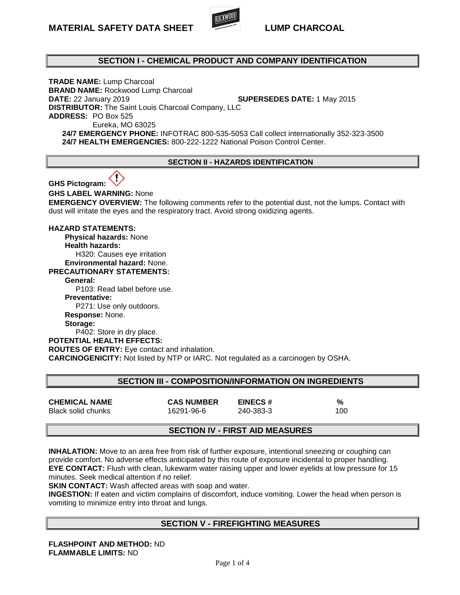

## **SECTION I - CHEMICAL PRODUCT AND COMPANY IDENTIFICATION**

**TRADE NAME:** Lump Charcoal **BRAND NAME:** Rockwood Lump Charcoal **DATE:** 22 January 2019 **SUPERSEDES DATE:** 1 May 2015 **DISTRIBUTOR:** The Saint Louis Charcoal Company, LLC **ADDRESS:** PO Box 525 Eureka, MO 63025 **24/7 EMERGENCY PHONE:** INFOTRAC 800-535-5053 Call collect internationally 352-323-3500 **24/7 HEALTH EMERGENCIES:** 800-222-1222 National Poison Control Center.

#### **SECTION II - HAZARDS IDENTIFICATION**



**GHS LABEL WARNING:** None

**EMERGENCY OVERVIEW:** The following comments refer to the potential dust, not the lumps. Contact with dust will irritate the eyes and the respiratory tract. Avoid strong oxidizing agents.

#### **HAZARD STATEMENTS:**

 **Physical hazards:** None  **Health hazards:**  H320: Causes eye irritation

 **Environmental hazard:** None.

**PRECAUTIONARY STATEMENTS:**

**General:** 

P103: Read label before use.

**Preventative:** 

P271: Use only outdoors.

**Response:** None.

**Storage:** 

P402: Store in dry place.

**POTENTIAL HEALTH EFFECTS:**

**ROUTES OF ENTRY:** Eye contact and inhalation.

**CARCINOGENICITY:** Not listed by NTP or IARC. Not regulated as a carcinogen by OSHA.

## **SECTION III - COMPOSITION/INFORMATION ON INGREDIENTS**

| <b>CHEMICAL NAME</b> | <b>CAS NUMBER</b> | <b>EINECS#</b> |     |
|----------------------|-------------------|----------------|-----|
| Black solid chunks   | 16291-96-6        | 240-383-3      | 100 |

## **SECTION IV - FIRST AID MEASURES**

**INHALATION:** Move to an area free from risk of further exposure, intentional sneezing or coughing can provide comfort. No adverse effects anticipated by this route of exposure incidental to proper handling. **EYE CONTACT:** Flush with clean, lukewarm water raising upper and lower eyelids at low pressure for 15 minutes. Seek medical attention if no relief.

**SKIN CONTACT:** Wash affected areas with soap and water.

**INGESTION:** If eaten and victim complains of discomfort, induce vomiting. Lower the head when person is vomiting to minimize entry into throat and lungs.

## **SECTION V - FIREFIGHTING MEASURES**

**FLASHPOINT AND METHOD:** ND **FLAMMABLE LIMITS:** ND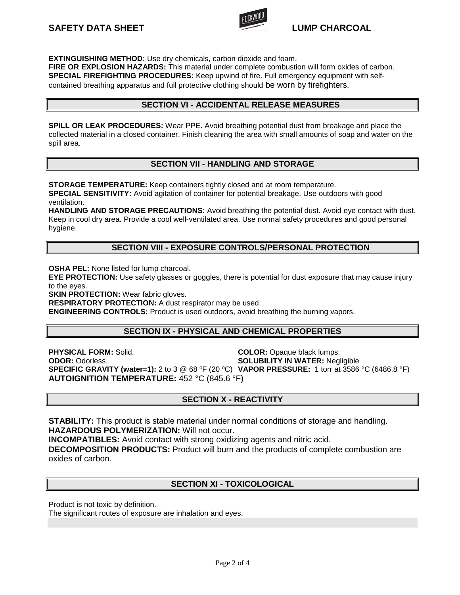

**EXTINGUISHING METHOD:** Use dry chemicals, carbon dioxide and foam.

**FIRE OR EXPLOSION HAZARDS:** This material under complete combustion will form oxides of carbon. **SPECIAL FIREFIGHTING PROCEDURES:** Keep upwind of fire. Full emergency equipment with selfcontained breathing apparatus and full protective clothing should be worn by firefighters.

## **SECTION VI - ACCIDENTAL RELEASE MEASURES**

**SPILL OR LEAK PROCEDURES:** Wear PPE. Avoid breathing potential dust from breakage and place the collected material in a closed container. Finish cleaning the area with small amounts of soap and water on the spill area.

## **SECTION VII - HANDLING AND STORAGE**

**STORAGE TEMPERATURE:** Keep containers tightly closed and at room temperature. **SPECIAL SENSITIVITY:** Avoid agitation of container for potential breakage. Use outdoors with good ventilation.

**HANDLING AND STORAGE PRECAUTIONS:** Avoid breathing the potential dust. Avoid eye contact with dust. Keep in cool dry area. Provide a cool well-ventilated area. Use normal safety procedures and good personal hygiene.

## **SECTION VIII - EXPOSURE CONTROLS/PERSONAL PROTECTION**

**OSHA PEL:** None listed for lump charcoal.

**EYE PROTECTION:** Use safety glasses or goggles, there is potential for dust exposure that may cause injury to the eyes.

**SKIN PROTECTION:** Wear fabric gloves.

**RESPIRATORY PROTECTION:** A dust respirator may be used.

**ENGINEERING CONTROLS:** Product is used outdoors, avoid breathing the burning vapors.

## **SECTION IX - PHYSICAL AND CHEMICAL PROPERTIES**

**PHYSICAL FORM:** Solid. **COLOR:** Opaque black lumps. **ODOR:** Odorless. **SOLUBILITY IN WATER:** Negligible **SPECIFIC GRAVITY (water=1):** 2 to 3 @ 68 ºF (20 ºC) **VAPOR PRESSURE:** 1 torr at 3586 °C (6486.8 °F) **AUTOIGNITION TEMPERATURE:** 452 °C (845.6 °F)

## **SECTION X - REACTIVITY**

**STABILITY:** This product is stable material under normal conditions of storage and handling. **HAZARDOUS POLYMERIZATION:** Will not occur.

**INCOMPATIBLES:** Avoid contact with strong oxidizing agents and nitric acid.

**DECOMPOSITION PRODUCTS:** Product will burn and the products of complete combustion are oxides of carbon.

## **SECTION XI - TOXICOLOGICAL**

Product is not toxic by definition.

The significant routes of exposure are inhalation and eyes.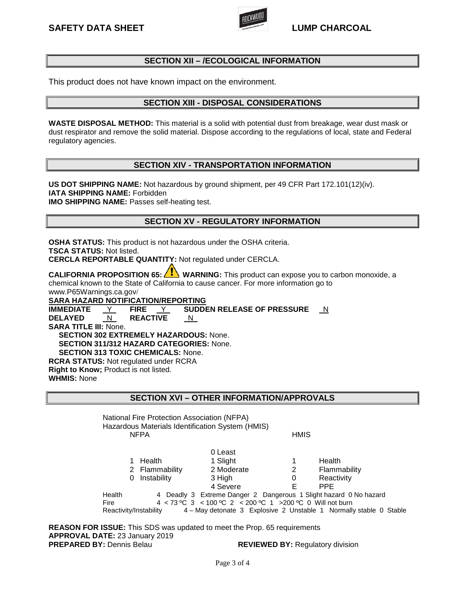

## **SECTION XII – /ECOLOGICAL INFORMATION**

This product does not have known impact on the environment.

## **SECTION XIII - DISPOSAL CONSIDERATIONS**

**WASTE DISPOSAL METHOD:** This material is a solid with potential dust from breakage, wear dust mask or dust respirator and remove the solid material. Dispose according to the regulations of local, state and Federal regulatory agencies.

## **SECTION XIV - TRANSPORTATION INFORMATION**

**US DOT SHIPPING NAME:** Not hazardous by ground shipment, per 49 CFR Part 172.101(12)(iv). **IATA SHIPPING NAME:** Forbidden **IMO SHIPPING NAME:** Passes self-heating test.

## **SECTION XV - REGULATORY INFORMATION**

**OSHA STATUS:** This product is not hazardous under the OSHA criteria. **TSCA STATUS:** Not listed. **CERCLA REPORTABLE QUANTITY:** Not regulated under CERCLA.

**CALIFORNIA PROPOSITION 65:**  $\langle \cdot \rangle$  **WARNING:** This product can expose you to carbon monoxide, a chemical known to the State of California to cause cancer. For more information go to www.P65Warnings.ca.gov/

**SARA HAZARD NOTIFICATION/REPORTING** 

**IMMEDIATE** Y **FIRE** Y **SUDDEN RELEASE OF PRESSURE** N **DELAYED** N **REACTIVE SARA TITLE III:** None.  **SECTION 302 EXTREMELY HAZARDOUS:** None.  **SECTION 311/312 HAZARD CATEGORIES:** None.  **SECTION 313 TOXIC CHEMICALS:** None. **RCRA STATUS:** Not regulated under RCRA **Right to Know;** Product is not listed. **WHMIS:** None

**SECTION XVI – OTHER INFORMATION/APPROVALS** 

National Fire Protection Association (NFPA) Hazardous Materials Identification System (HMIS) NFPA **HMIS** 

|        |                        | 0 Least                                                            |   |               |  |
|--------|------------------------|--------------------------------------------------------------------|---|---------------|--|
|        | Health                 | 1 Slight                                                           |   | <b>Health</b> |  |
|        | 2 Flammability         | 2 Moderate                                                         | 2 | Flammability  |  |
|        | 0 Instability          | 3 High                                                             |   | Reactivity    |  |
|        |                        | 4 Severe                                                           |   | <b>PPF</b>    |  |
| Health |                        | 4 Deadly 3 Extreme Danger 2 Dangerous 1 Slight hazard 0 No hazard  |   |               |  |
| Fire   |                        | 4 < 73 °C 3 < 100 °C 2 < 200 °C 1 > 200 °C 0 Will not burn         |   |               |  |
|        | Reactivity/Instability | 4 - May detonate 3 Explosive 2 Unstable 1 Normally stable 0 Stable |   |               |  |

**REASON FOR ISSUE:** This SDS was updated to meet the Prop. 65 requirements **APPROVAL DATE:** 23 January 2019 **PREPARED BY:** Dennis Belau **REVIEWED BY:** Regulatory division